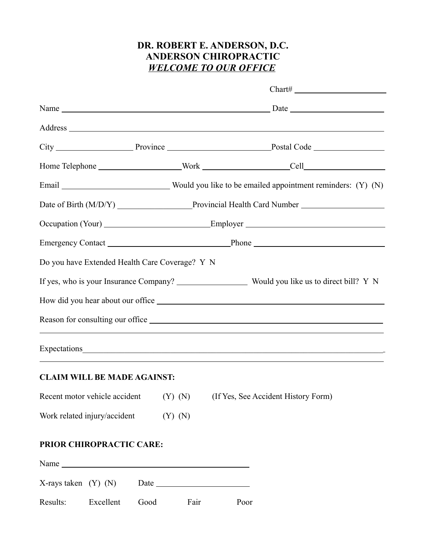# **DR. ROBERT E. ANDERSON, D.C. ANDERSON CHIROPRACTIC** *WELCOME TO OUR OFFICE*

|                              | Do you have Extended Health Care Coverage? Y N |      |             |  |      |                                                                           |
|------------------------------|------------------------------------------------|------|-------------|--|------|---------------------------------------------------------------------------|
|                              |                                                |      |             |  |      |                                                                           |
|                              |                                                |      |             |  |      |                                                                           |
|                              |                                                |      |             |  |      |                                                                           |
|                              |                                                |      |             |  |      |                                                                           |
|                              | <b>CLAIM WILL BE MADE AGAINST:</b>             |      |             |  |      |                                                                           |
|                              |                                                |      |             |  |      | Recent motor vehicle accident (Y) (N) (If Yes, See Accident History Form) |
| Work related injury/accident |                                                |      | $(Y)$ $(N)$ |  |      |                                                                           |
|                              | PRIOR CHIROPRACTIC CARE:                       |      |             |  |      |                                                                           |
|                              | Name                                           |      |             |  |      |                                                                           |
|                              | $X$ -rays taken $(Y)$ $(N)$                    |      |             |  |      |                                                                           |
| Results:                     | Excellent                                      | Good | Fair        |  | Poor |                                                                           |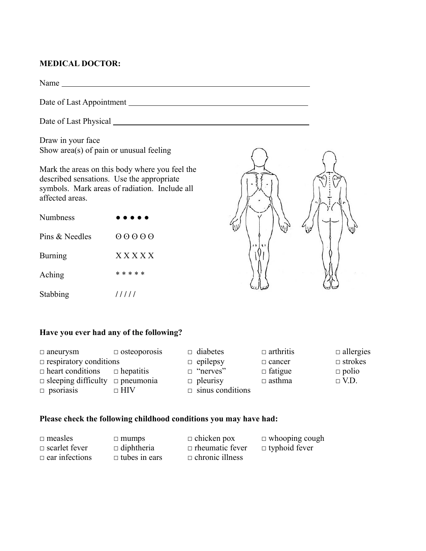### **MEDICAL DOCTOR:**

Name

Date of Last Appointment

Date of Last Physical

Draw in your face Show area(s) of pain or unusual feeling

Mark the areas on this body where you feel the described sensations. Use the appropriate symbols. Mark areas of radiation. Include all affected areas.

| Numbness       | .         |
|----------------|-----------|
| Pins & Needles | 00000     |
| Burning        | X X X X X |
| Aching         | * * * * * |
| Stabbing       | /////     |



#### **Have you ever had any of the following?**

| $\Box$ aneurysm                             | $\Box$ osteoporosis | $\Box$ diabetes         | $\Box$ arthritis | $\Box$ allergies |
|---------------------------------------------|---------------------|-------------------------|------------------|------------------|
| $\Box$ respiratory conditions               |                     | $\Box$ epilepsy         | $\Box$ cancer    | $\Box$ strokes   |
| $\Box$ heart conditions $\Box$ hepatitis    |                     | $\Box$ "nerves"         | $\Box$ fatigue   | $\Box$ polio     |
| $\Box$ sleeping difficulty $\Box$ pneumonia |                     | $\Box$ pleurisy         | $\Box$ asthma    | $\Box$ V.D.      |
| $\Box$ psoriasis                            | $\sqcap$ HIV        | $\Box$ sinus conditions |                  |                  |

## **Please check the following childhood conditions you may have had:**

| $\Box$ measles        | $\Box$ mumps         | $\Box$ chicken pox     | $\Box$ whooping cough |
|-----------------------|----------------------|------------------------|-----------------------|
| $\Box$ scarlet fever  | $\Box$ diphtheria    | $\Box$ rheumatic fever | $\Box$ typhoid fever  |
| $\Box$ ear infections | $\Box$ tubes in ears | $\Box$ chronic illness |                       |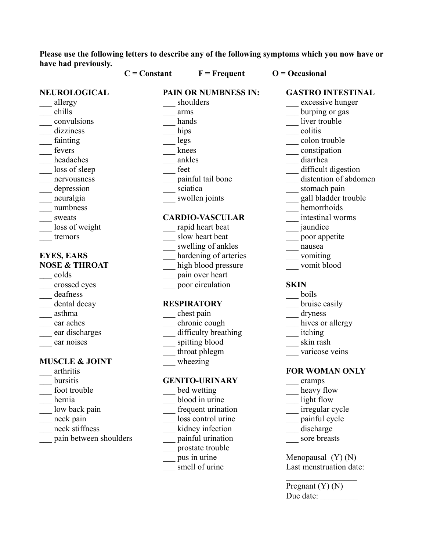**Please use the following letters to describe any of the following symptoms which you now have or have had previously.**

|                           | $C = Constant$ | $F = F$ requent             | $O = Occasional$         |
|---------------------------|----------------|-----------------------------|--------------------------|
| NEUROLOGICAL              |                | <b>PAIN OR NUMBNESS IN:</b> | <b>GASTRO INTESTINAL</b> |
| allergy                   |                | shoulders                   | excessive hunger         |
| chills                    |                | arms                        | burping or gas           |
| convulsions               |                | hands                       | liver trouble            |
| dizziness                 |                | hips                        | colitis                  |
| fainting                  |                | legs                        | colon trouble            |
| fevers                    |                | knees                       | constipation             |
| headaches                 |                | ankles                      | diarrhea                 |
| loss of sleep             |                | feet                        | difficult digestion      |
| nervousness               |                | painful tail bone           | distention of abdomen    |
| depression                |                | sciatica                    | stomach pain             |
| neuralgia                 |                | swollen joints              | gall bladder trouble     |
| numbness                  |                |                             | hemorrhoids              |
| sweats                    |                | <b>CARDIO-VASCULAR</b>      | intestinal worms         |
| loss of weight            |                | rapid heart beat            | jaundice                 |
| tremors                   |                | slow heart beat             | poor appetite            |
|                           |                | swelling of ankles          | nausea                   |
| <b>EYES, EARS</b>         |                | hardening of arteries       | vomiting                 |
| <b>NOSE &amp; THROAT</b>  |                | high blood pressure         | vomit blood              |
| colds                     |                | pain over heart             |                          |
| crossed eyes              |                | poor circulation            | <b>SKIN</b>              |
| deafness                  |                |                             | boils                    |
| dental decay              |                | <b>RESPIRATORY</b>          | bruise easily            |
| asthma                    |                | chest pain                  | dryness                  |
| ear aches                 |                | chronic cough               | hives or allergy         |
| ear discharges            |                | difficulty breathing        | itching                  |
| ear noises                |                | spitting blood              | skin rash                |
|                           |                | throat phlegm               | varicose veins           |
| <b>MUSCLE &amp; JOINT</b> |                | wheezing                    |                          |
| arthritis                 |                |                             | <b>FOR WOMAN ONLY</b>    |
| bursitis                  |                | <b>GENITO-URINARY</b>       | cramps                   |
| foot trouble              |                | bed wetting                 | heavy flow               |
| hernia                    |                | blood in urine              | light flow               |
| low back pain             |                | frequent urination          | irregular cycle          |
| neck pain                 |                | loss control urine          | painful cycle            |
| neck stiffness            |                | kidney infection            | discharge                |
| pain between shoulders    |                | painful urination           | sore breasts             |
|                           |                | prostate trouble            |                          |
|                           |                | pus in urine                | Menopausal $(Y)$ $(N)$   |
|                           |                | smell of urine              | Last menstruation date:  |

Pregnant (Y) (N) Due date: